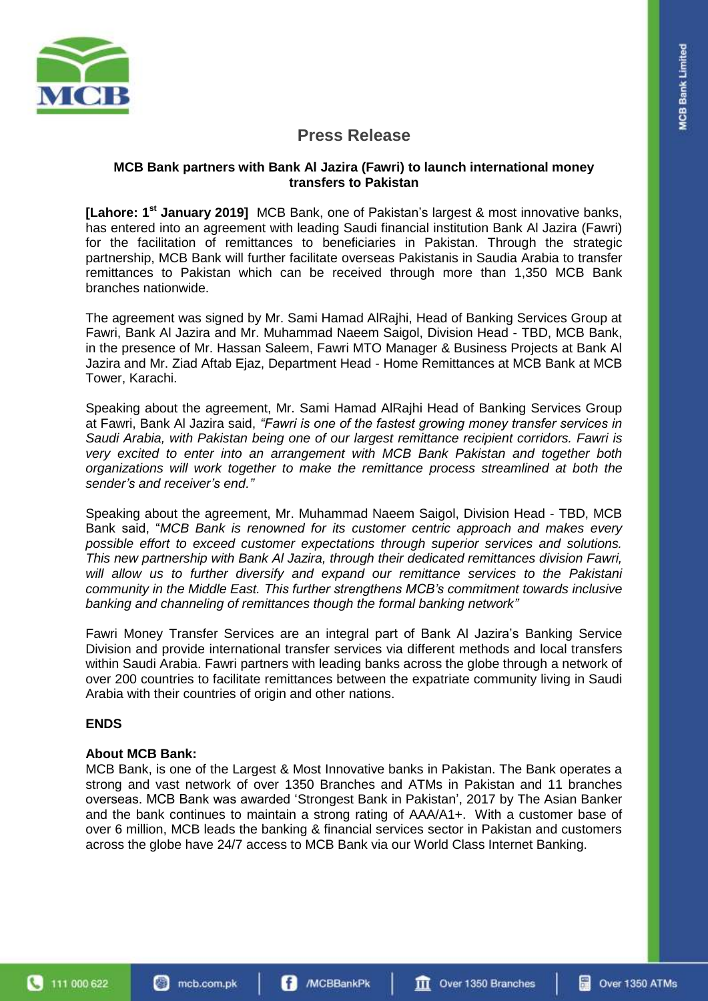

## **Press Release**

### **MCB Bank partners with Bank Al Jazira (Fawri) to launch international money transfers to Pakistan**

[Lahore: 1<sup>st</sup> January 2019] MCB Bank, one of Pakistan's largest & most innovative banks, has entered into an agreement with leading Saudi financial institution Bank Al Jazira (Fawri) for the facilitation of remittances to beneficiaries in Pakistan. Through the strategic partnership, MCB Bank will further facilitate overseas Pakistanis in Saudia Arabia to transfer remittances to Pakistan which can be received through more than 1,350 MCB Bank branches nationwide.

The agreement was signed by Mr. Sami Hamad AlRajhi, Head of Banking Services Group at Fawri, Bank Al Jazira and Mr. Muhammad Naeem Saigol, Division Head - TBD, MCB Bank, in the presence of Mr. Hassan Saleem, Fawri MTO Manager & Business Projects at Bank Al Jazira and Mr. Ziad Aftab Ejaz, Department Head - Home Remittances at MCB Bank at MCB Tower, Karachi.

Speaking about the agreement, Mr. Sami Hamad AlRajhi Head of Banking Services Group at Fawri, Bank Al Jazira said, *"Fawri is one of the fastest growing money transfer services in Saudi Arabia, with Pakistan being one of our largest remittance recipient corridors. Fawri is very excited to enter into an arrangement with MCB Bank Pakistan and together both organizations will work together to make the remittance process streamlined at both the sender's and receiver's end."*

Speaking about the agreement, Mr. Muhammad Naeem Saigol, Division Head - TBD, MCB Bank said, "*MCB Bank is renowned for its customer centric approach and makes every possible effort to exceed customer expectations through superior services and solutions. This new partnership with Bank Al Jazira, through their dedicated remittances division Fawri, will allow us to further diversify and expand our remittance services to the Pakistani community in the Middle East. This further strengthens MCB's commitment towards inclusive banking and channeling of remittances though the formal banking network"*

Fawri Money Transfer Services are an integral part of Bank Al Jazira's Banking Service Division and provide international transfer services via different methods and local transfers within Saudi Arabia. Fawri partners with leading banks across the globe through a network of over 200 countries to facilitate remittances between the expatriate community living in Saudi Arabia with their countries of origin and other nations.

## **ENDS**

## **About MCB Bank:**

MCB Bank, is one of the Largest & Most Innovative banks in Pakistan. The Bank operates a strong and vast network of over 1350 Branches and ATMs in Pakistan and 11 branches overseas. MCB Bank was awarded 'Strongest Bank in Pakistan', 2017 by The Asian Banker and the bank continues to maintain a strong rating of AAA/A1+. With a customer base of over 6 million, MCB leads the banking & financial services sector in Pakistan and customers across the globe have 24/7 access to MCB Bank via our World Class Internet Banking.